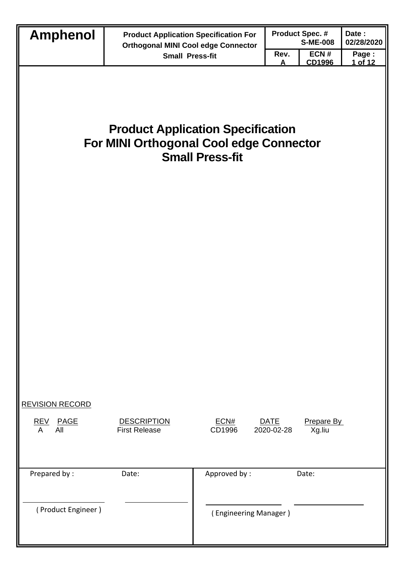| <b>Amphenol</b>                                                                                               | <b>Product Application Specification For</b> |                       |                           | <b>Product Spec. #</b> | Date:            |  |
|---------------------------------------------------------------------------------------------------------------|----------------------------------------------|-----------------------|---------------------------|------------------------|------------------|--|
|                                                                                                               | <b>Orthogonal MINI Cool edge Connector</b>   |                       |                           | <b>S-ME-008</b>        | 02/28/2020       |  |
|                                                                                                               | <b>Small Press-fit</b>                       |                       | Rev.<br>A                 | ECN#<br>CD1996         | Page:<br>1 of 12 |  |
| <b>Product Application Specification</b><br>For MINI Orthogonal Cool edge Connector<br><b>Small Press-fit</b> |                                              |                       |                           |                        |                  |  |
|                                                                                                               |                                              |                       |                           |                        |                  |  |
| <b>REVISION RECORD</b><br>REV PAGE<br>All<br>A                                                                | <b>DESCRIPTION</b><br><b>First Release</b>   | ECN#<br>CD1996        | <b>DATE</b><br>2020-02-28 | Prepare By<br>Xg.liu   |                  |  |
| Prepared by:                                                                                                  | Date:                                        | Approved by:          |                           | Date:                  |                  |  |
|                                                                                                               |                                              |                       |                           |                        |                  |  |
| (Product Engineer)                                                                                            |                                              | (Engineering Manager) |                           |                        |                  |  |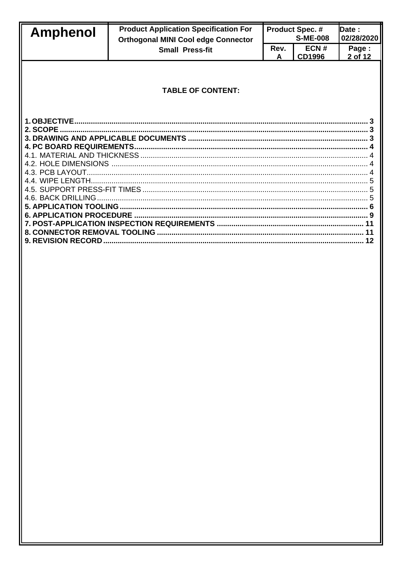| <b>Amphenol</b> | <b>Product Application Specification For</b><br><b>Orthogonal MINI Cool edge Connector</b> |           | <b>Product Spec. #</b><br><b>S-ME-008</b> | Date :<br>02/28/2020 |
|-----------------|--------------------------------------------------------------------------------------------|-----------|-------------------------------------------|----------------------|
|                 | <b>Small Press-fit</b>                                                                     | Rev.<br>A | ECN#<br><b>CD1996</b>                     | Page:<br>2 of 12     |
|                 | <b>TABLE OF CONTENT:</b>                                                                   |           |                                           |                      |
|                 |                                                                                            |           |                                           |                      |
|                 |                                                                                            |           |                                           |                      |
|                 |                                                                                            |           |                                           |                      |
|                 |                                                                                            |           |                                           |                      |
|                 |                                                                                            |           |                                           |                      |
|                 |                                                                                            |           |                                           |                      |
|                 |                                                                                            |           |                                           |                      |
|                 |                                                                                            |           |                                           |                      |
|                 |                                                                                            |           |                                           |                      |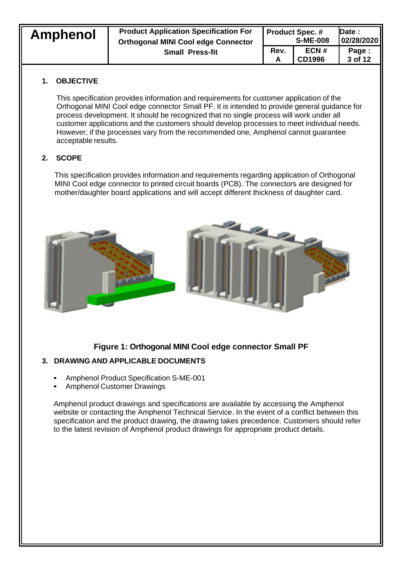| <b>Amphenol</b>        | <b>Product Application Specification For</b> | <b>Product Spec. #</b> |                  | <b>IDate:</b> |
|------------------------|----------------------------------------------|------------------------|------------------|---------------|
|                        | <b>Orthogonal MINI Cool edge Connector</b>   | <b>S-ME-008</b>        |                  | 02/28/2020    |
| <b>Small Press-fit</b> | Rev.                                         | ECN#<br><b>CD1996</b>  | Page:<br>3 of 12 |               |

## **1. OBJECTIVE**

This specification provides information and requirements for customer application of the Orthogonal MINI Cool edge connector Small PF. It is intended to provide general guidance for process development. It should be recognized that no single process will work under all customer applications and the customers should develop processes to meet individual needs. However, if the processes vary from the recommended one, Amphenol cannot guarantee acceptable results.

# **2. SCOPE**

This specification provides information and requirements regarding application of Orthogonal MINI Cool edge connector to printed circuit boards (PCB). The connectors are designed for mother/daughter board applications and will accept different thickness of daughter card.



# **Figure 1: Orthogonal MINI Cool edge connector Small PF**

## **3. DRAWING AND APPLICABLE DOCUMENTS**

- Amphenol Product Specification S-ME-001
- Amphenol Customer Drawings

Amphenol product drawings and specifications are available by accessing the Amphenol website or contacting the Amphenol Technical Service. In the event of a conflict between this specification and the product drawing, the drawing takes precedence. Customers should refer to the latest revision of Amphenol product drawings for appropriate product details.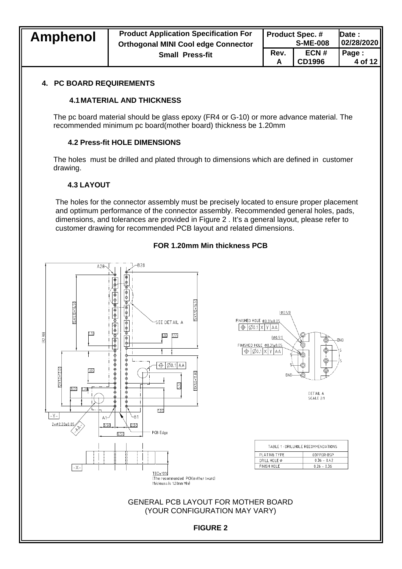| <b>Amphenol</b>        | <b>Product Application Specification For</b> | <b>Product Spec. #</b> |                   | <b>IDate:</b> |
|------------------------|----------------------------------------------|------------------------|-------------------|---------------|
|                        | <b>Orthogonal MINI Cool edge Connector</b>   | <b>S-ME-008</b>        |                   | 02/28/2020    |
| <b>Small Press-fit</b> | Rev.                                         | ECN#<br><b>CD1996</b>  | Page :<br>4 of 12 |               |

### **4. PC BOARD REQUIREMENTS**

### **4.1MATERIAL AND THICKNESS**

The pc board material should be glass epoxy (FR4 or G-10) or more advance material. The recommended minimum pc board(mother board) thickness be 1.20mm

### **4.2 Press-fit HOLE DIMENSIONS**

The holes must be drilled and plated through to dimensions which are defined in customer drawing.

### **4.3 LAYOUT**

The holes for the connector assembly must be precisely located to ensure proper placement and optimum performance of the connector assembly. Recommended general holes, pads, dimensions, and tolerances are provided in Figure 2 . It's a general layout, please refer to customer drawing for recommended PCB layout and related dimensions.



### **FOR 1.20mm Min thickness PCB**

**GND** 

**COPPER OSP** 

 $0.36 - 0.42$  $0.26 - 0.36$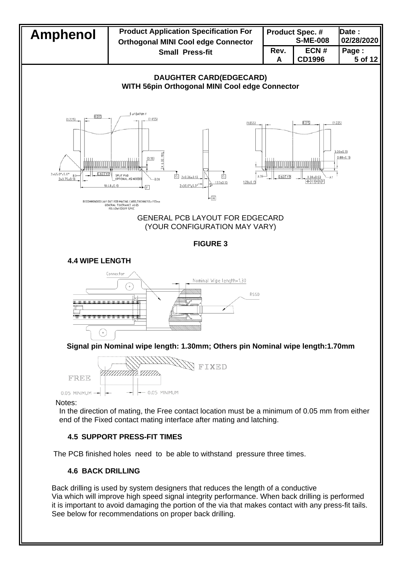

## **4.6 BACK DRILLING**

Back drilling is used by system designers that reduces the length of a conductive Via which will improve high speed signal integrity performance. When back drilling is performed it is important to avoid damaging the portion of the via that makes contact with any press-fit tails. See below for recommendations on proper back drilling.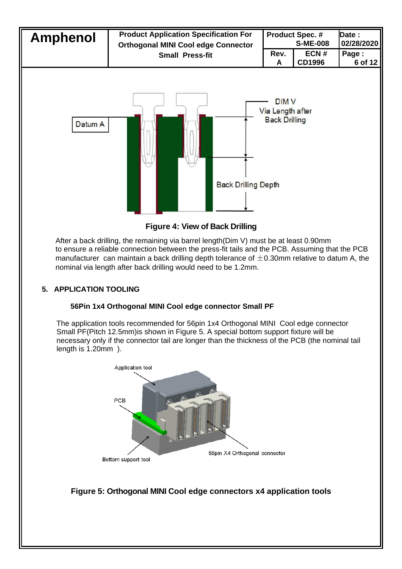

**Figure 4: View of Back Drilling**

After a back drilling, the remaining via barrel length(Dim V) must be at least 0.90mm to ensure a reliable connection between the press-fit tails and the PCB. Assuming that the PCB manufacturer can maintain a back drilling depth tolerance of  $\pm$ 0.30mm relative to datum A, the nominal via length after back drilling would need to be 1.2mm.

## **5. APPLICATION TOOLING**

## **56Pin 1x4 Orthogonal MINI Cool edge connector Small PF**

The application tools recommended for 56pin 1x4 Orthogonal MINI Cool edge connector Small PF(Pitch 12.5mm)is shown in Figure 5. A special bottom support fixture will be necessary only if the connector tail are longer than the thickness of the PCB (the nominal tail length is 1.20mm ).



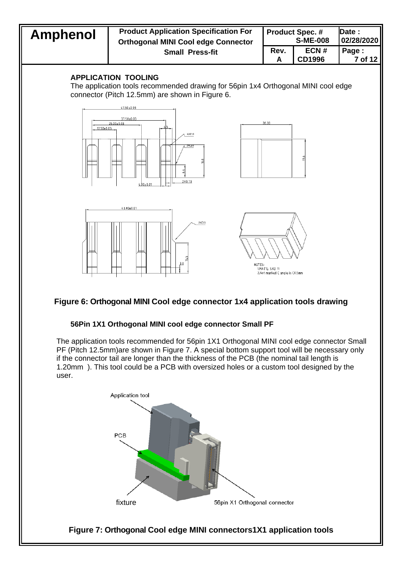## **Amphenol Product Application Specification For Orthogonal MINI Cool edge Connector Small Press-fit**

| <b>Product Spec. #</b> |               | Date :     |
|------------------------|---------------|------------|
| <b>S-ME-008</b>        |               | 02/28/2020 |
| Rev.                   | ECN#          | Page:      |
| А                      | <b>CD1996</b> | 7 of 12    |

### **APPLICATION TOOLING**

The application tools recommended drawing for 56pin 1x4 Orthogonal MINI cool edge connector (Pitch 12.5mm) are shown in Figure 6.



# **Figure 6: Orthogonal MINI Cool edge connector 1x4 application tools drawing**

### **56Pin 1X1 Orthogonal MINI cool edge connector Small PF**

The application tools recommended for 56pin 1X1 Orthogonal MINI cool edge connector Small PF (Pitch 12.5mm)are shown in Figure 7. A special bottom support tool will be necessary only if the connector tail are longer than the thickness of the PCB (the nominal tail length is 1.20mm ). This tool could be a PCB with oversized holes or a custom tool designed by the user.

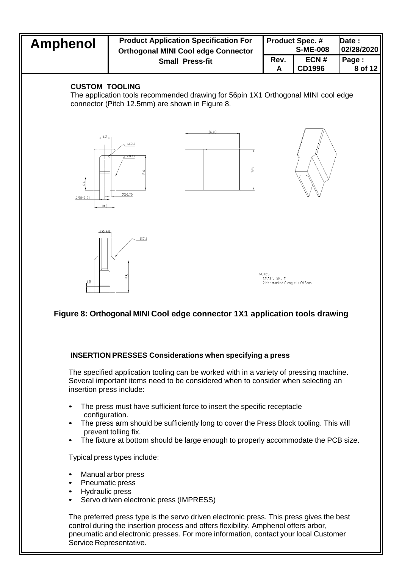

## **Figure 8: Orthogonal MINI Cool edge connector 1X1 application tools drawing**

### **INSERTION PRESSES Considerations when specifying a press**

The specified application tooling can be worked with in a variety of pressing machine. Several important items need to be considered when to consider when selecting an insertion press include:

- The press must have sufficient force to insert the specific receptacle configuration.
- The press arm should be sufficiently long to cover the Press Block tooling. This will prevent tolling fix.
- The fixture at bottom should be large enough to properly accommodate the PCB size.

Typical press types include:

- Manual arbor press
- Pneumatic press
- Hydraulic press
- Servo driven electronic press (IMPRESS)

The preferred press type is the servo driven electronic press. This press gives the best control during the insertion process and offers flexibility. Amphenol offers arbor, pneumatic and electronic presses. For more information, contact your local Customer Service Representative.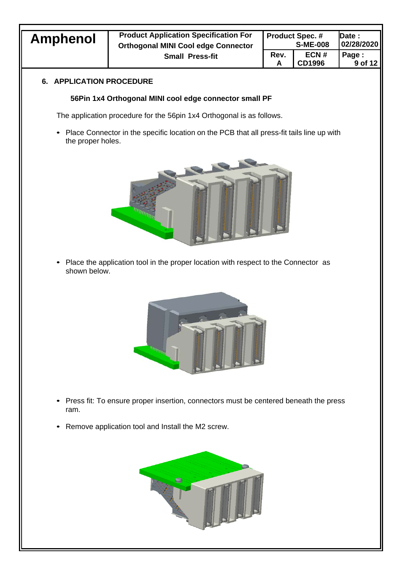| Amphenol | <b>Product Application Specification For</b><br><b>Orthogonal MINI Cool edge Connector</b> | <b>Product Spec. #</b><br><b>S-ME-008</b> |                       | <b>IDate:</b><br>02/28/2020 |
|----------|--------------------------------------------------------------------------------------------|-------------------------------------------|-----------------------|-----------------------------|
|          | <b>Small Press-fit</b>                                                                     | Rev.                                      | ECN#<br><b>CD1996</b> | Page:<br>9 of 12            |

## **6. APPLICATION PROCEDURE**

## **56Pin 1x4 Orthogonal MINI cool edge connector small PF**

The application procedure for the 56pin 1x4 Orthogonal is as follows.

• Place Connector in the specific location on the PCB that all press-fit tails line up with the proper holes.



• Place the application tool in the proper location with respect to the Connector as shown below.



- Press fit: To ensure proper insertion, connectors must be centered beneath the press ram.
- Remove application tool and Install the M2 screw.

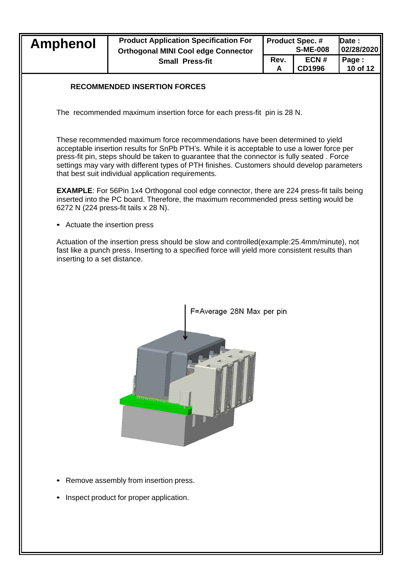| <b>Amphenol</b>                                                                                                                                                                                                                                                                                                                                                                                                                    | <b>Product Application Specification For</b><br><b>Orthogonal MINI Cool edge Connector</b>                                                                                                      |      | <b>Product Spec. #</b><br><b>S-ME-008</b> | Date:<br>02/28/2020 |  |
|------------------------------------------------------------------------------------------------------------------------------------------------------------------------------------------------------------------------------------------------------------------------------------------------------------------------------------------------------------------------------------------------------------------------------------|-------------------------------------------------------------------------------------------------------------------------------------------------------------------------------------------------|------|-------------------------------------------|---------------------|--|
|                                                                                                                                                                                                                                                                                                                                                                                                                                    | <b>Small Press-fit</b>                                                                                                                                                                          | Rev. | ECN#                                      | Page:               |  |
|                                                                                                                                                                                                                                                                                                                                                                                                                                    |                                                                                                                                                                                                 | A    | <b>CD1996</b>                             | 10 of 12            |  |
|                                                                                                                                                                                                                                                                                                                                                                                                                                    | <b>RECOMMENDED INSERTION FORCES</b>                                                                                                                                                             |      |                                           |                     |  |
|                                                                                                                                                                                                                                                                                                                                                                                                                                    | The recommended maximum insertion force for each press-fit pin is 28 N.                                                                                                                         |      |                                           |                     |  |
| These recommended maximum force recommendations have been determined to yield<br>acceptable insertion results for SnPb PTH's. While it is acceptable to use a lower force per<br>press-fit pin, steps should be taken to guarantee that the connector is fully seated. Force<br>settings may vary with different types of PTH finishes. Customers should develop parameters<br>that best suit individual application requirements. |                                                                                                                                                                                                 |      |                                           |                     |  |
| <b>EXAMPLE:</b> For 56Pin 1x4 Orthogonal cool edge connector, there are 224 press-fit tails being<br>inserted into the PC board. Therefore, the maximum recommended press setting would be<br>6272 N (224 press-fit tails x 28 N).                                                                                                                                                                                                 |                                                                                                                                                                                                 |      |                                           |                     |  |
| • Actuate the insertion press                                                                                                                                                                                                                                                                                                                                                                                                      |                                                                                                                                                                                                 |      |                                           |                     |  |
| inserting to a set distance.                                                                                                                                                                                                                                                                                                                                                                                                       | Actuation of the insertion press should be slow and controlled (example: 25.4mm/minute), not<br>fast like a punch press. Inserting to a specified force will yield more consistent results than |      |                                           |                     |  |



- Remove assembly from insertion press.
- Inspect product for proper application.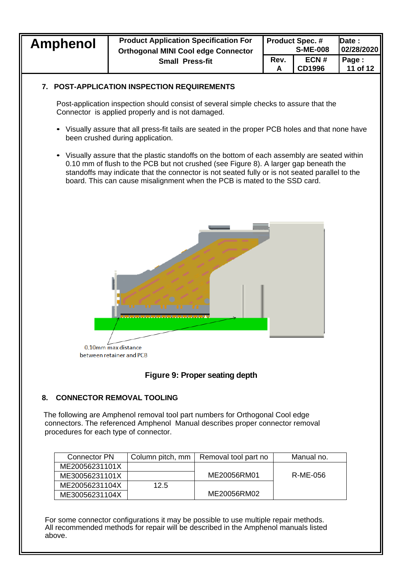| <b>Amphenol</b>                        | <b>Product Application Specification For</b><br><b>Orthogonal MINI Cool edge Connector</b>                                                                                                                                                                                                                                                                         |           | <b>Product Spec. #</b><br><b>S-ME-008</b> | Date:<br>02/28/2020 |  |
|----------------------------------------|--------------------------------------------------------------------------------------------------------------------------------------------------------------------------------------------------------------------------------------------------------------------------------------------------------------------------------------------------------------------|-----------|-------------------------------------------|---------------------|--|
|                                        | <b>Small Press-fit</b>                                                                                                                                                                                                                                                                                                                                             | Rev.<br>A | ECN#<br><b>CD1996</b>                     | Page:<br>11 of 12   |  |
| 7.                                     | <b>POST-APPLICATION INSPECTION REQUIREMENTS</b>                                                                                                                                                                                                                                                                                                                    |           |                                           |                     |  |
|                                        | Post-application inspection should consist of several simple checks to assure that the<br>Connector is applied properly and is not damaged.                                                                                                                                                                                                                        |           |                                           |                     |  |
|                                        | Visually assure that all press-fit tails are seated in the proper PCB holes and that none have<br>been crushed during application.                                                                                                                                                                                                                                 |           |                                           |                     |  |
|                                        | Visually assure that the plastic standoffs on the bottom of each assembly are seated within<br>0.10 mm of flush to the PCB but not crushed (see Figure 8). A larger gap beneath the<br>standoffs may indicate that the connector is not seated fully or is not seated parallel to the<br>board. This can cause misalignment when the PCB is mated to the SSD card. |           |                                           |                     |  |
|                                        | 0.10mm max distance<br>between retainer and PCB                                                                                                                                                                                                                                                                                                                    |           |                                           |                     |  |
| Figure 9: Proper seating depth         |                                                                                                                                                                                                                                                                                                                                                                    |           |                                           |                     |  |
| <b>CONNECTOR REMOVAL TOOLING</b><br>8. |                                                                                                                                                                                                                                                                                                                                                                    |           |                                           |                     |  |
| procedures for each type of connector. | The following are Amphenol removal tool part numbers for Orthogonal Cool edge<br>connectors. The referenced Amphenol Manual describes proper connector removal                                                                                                                                                                                                     |           |                                           |                     |  |

| Connector PN   | Column pitch, mm | Removal tool part no | Manual no. |
|----------------|------------------|----------------------|------------|
| ME20056231101X |                  |                      |            |
| ME30056231101X |                  | ME20056RM01          | R-ME-056   |
| ME20056231104X | 12.5             |                      |            |
| ME30056231104X |                  | ME20056RM02          |            |

For some connector configurations it may be possible to use multiple repair methods. All recommended methods for repair will be described in the Amphenol manuals listed above.